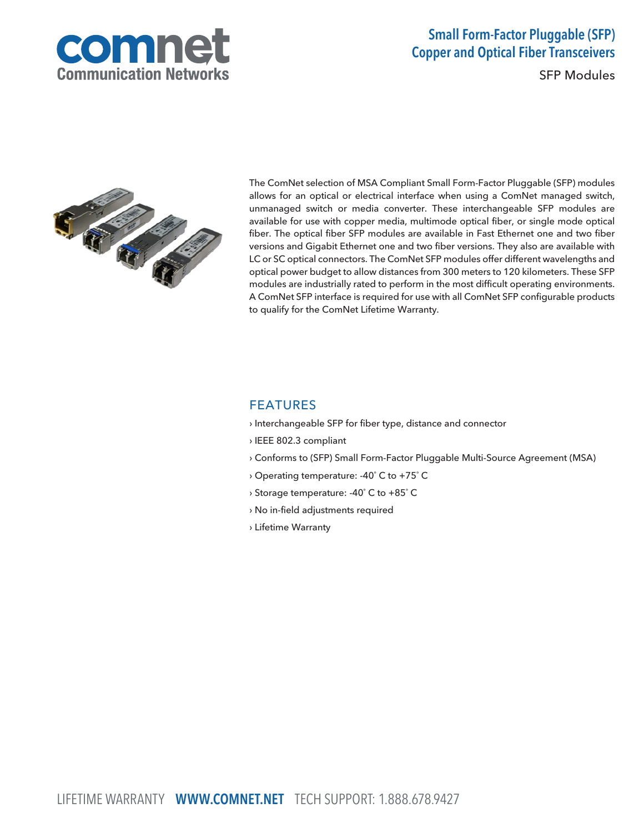

# Small Form-Factor Pluggable (SFP) Copper and Optical Fiber Transceivers

SFP Modules



The ComNet selection of MSA Compliant Small Form-Factor Pluggable (SFP) modules allows for an optical or electrical interface when using a ComNet managed switch, unmanaged switch or media converter. These interchangeable SFP modules are available for use with copper media, multimode optical fiber, or single mode optical fiber. The optical fiber SFP modules are available in Fast Ethernet one and two fiber versions and Gigabit Ethernet one and two fiber versions. They also are available with LC or SC optical connectors. The ComNet SFP modules offer different wavelengths and optical power budget to allow distances from 300 meters to 120 kilometers. These SFP modules are industrially rated to perform in the most difficult operating environments. A ComNet SFP interface is required for use with all ComNet SFP configurable products to qualify for the ComNet Lifetime Warranty.

### FEATURES

- › Interchangeable SFP for fiber type, distance and connector
- › IEEE 802.3 compliant
- › Conforms to (SFP) Small Form-Factor Pluggable Multi-Source Agreement (MSA)
- › Operating temperature: -40˚ C to +75˚ C
- › Storage temperature: -40˚ C to +85˚ C
- › No in-field adjustments required
- › Lifetime Warranty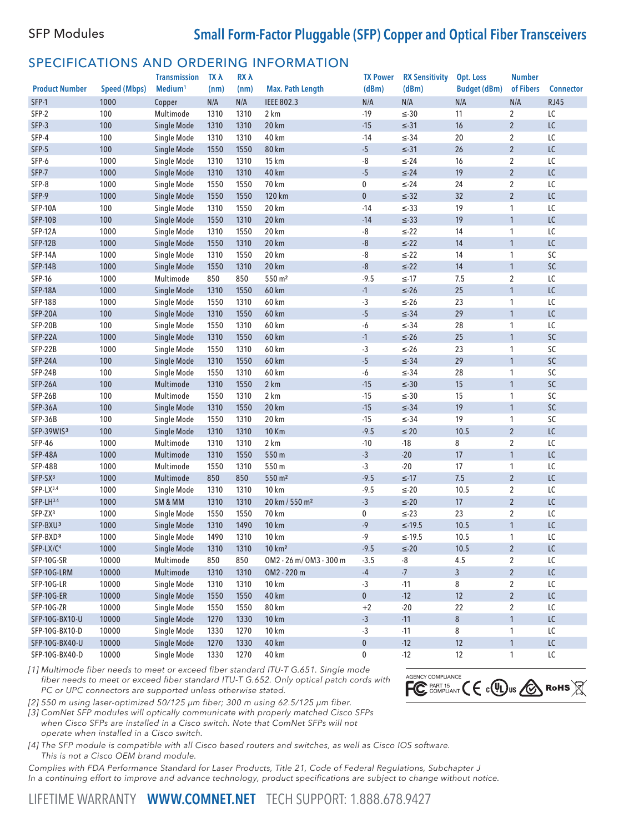## SFP Modules **Small Form-Factor Pluggable (SFP) Copper and Optical Fiber Transceivers**

## SPECIFICATIONS AND ORDERING INFORMATION

|                       |                     | <b>Transmission</b> | <b>TX A</b> | RX A                    |                            | <b>TX Power</b> | <b>RX Sensitivity</b> | Opt. Loss           | <b>Number</b>  |                  |
|-----------------------|---------------------|---------------------|-------------|-------------------------|----------------------------|-----------------|-----------------------|---------------------|----------------|------------------|
| <b>Product Number</b> | <b>Speed (Mbps)</b> | Medium <sup>1</sup> | (nm)        | (nm)                    | <b>Max. Path Length</b>    | (dBm)           | (dBm)                 | <b>Budget (dBm)</b> | of Fibers      | <b>Connector</b> |
| SFP-1                 | 1000                | Copper              | N/A         | $\mathsf{N}/\mathsf{A}$ | <b>IEEE 802.3</b>          | N/A             | N/A                   | N/A                 | N/A            | <b>RJ45</b>      |
| SFP-2                 | 100                 | Multimode           | 1310        | 1310                    | 2 km                       | $-19$           | $\leq$ 30             | 11                  | $\overline{2}$ | LC               |
| SFP-3                 | 100                 | Single Mode         | 1310        | 1310                    | 20 km                      | $-15$           | $\leq$ -31            | 16                  | $\overline{2}$ | LC               |
| SFP-4                 | 100                 | Single Mode         | 1310        | 1310                    | 40 km                      | $-14$           | $\leq$ -34            | 20                  | $\overline{2}$ | LC               |
| SFP-5                 | 100                 | Single Mode         | 1550        | 1550                    | <b>80 km</b>               | $-5$            | $\leq$ -31            | 26                  | $\overline{2}$ | LC               |
| SFP-6                 | 1000                | Single Mode         | 1310        | 1310                    | 15 km                      | $\mbox{-}8$     | $\leq$ -24            | 16                  | $\overline{2}$ | LC               |
| SFP-7                 | 1000                | Single Mode         | 1310        | 1310                    | 40 km                      | $-5$            | $\leq$ -24            | 19                  | $\overline{2}$ | LC               |
| SFP-8                 | 1000                | Single Mode         | 1550        | 1550                    | 70 km                      | 0               | $\leq$ -24            | 24                  | $\overline{2}$ | LC               |
| SFP-9                 | 1000                | Single Mode         | 1550        | 1550                    | 120 km                     | $\mathbf 0$     | $\leq$ -32            | 32                  | $\overline{2}$ | LC               |
| SFP-10A               | 100                 | Single Mode         | 1310        | 1550                    | 20 km                      | $-14$           | $\leq$ -33            | 19                  | 1              | LC               |
| <b>SFP-10B</b>        | 100                 | Single Mode         | 1550        | 1310                    | 20 km                      | $-14$           | $\leq$ -33            | 19                  | $\mathbf{1}$   | LC               |
| SFP-12A               | 1000                | Single Mode         | 1310        | 1550                    | 20 km                      | $\, 8 \,$       | $\leq$ -22            | 14                  | $\mathbf{1}$   | LC               |
| SFP-12B               | 1000                | Single Mode         | 1550        | 1310                    | 20 km                      | $-8$            | $\leq$ -22            | 14                  | $\mathbf{1}$   | LC               |
| <b>SFP-14A</b>        | 1000                | Single Mode         | 1310        | 1550                    | 20 km                      | -8              | $\leq$ -22            | 14                  | $\mathbf{1}$   | SC               |
| <b>SFP-14B</b>        | 1000                | Single Mode         | 1550        | 1310                    | 20 km                      | $-8$            | $\leq$ -22            | 14                  | $\mathbf{1}$   | SC               |
| <b>SFP-16</b>         | 1000                | Multimode           | 850         | 850                     | 550 m <sup>2</sup>         | $-9.5$          | $≤ 17$                | 7.5                 | $\overline{2}$ | LC               |
| SFP-18A               | 1000                | Single Mode         | 1310        | 1550                    | 60 km                      | $-1$            | $\leq$ -26            | 25                  | $\mathbf{1}$   | LC               |
| SFP-18B               | 1000                | Single Mode         | 1550        | 1310                    | 60 km                      | $-3$            | $\leq$ -26            | 23                  | 1              | LC               |
| SFP-20A               | 100                 | Single Mode         | 1310        | 1550                    | 60 km                      | $-5$            | $\leq$ 34             | 29                  | $\mathbf{1}$   | LC               |
| SFP-20B               | 100                 | Single Mode         | 1550        | 1310                    | 60 km                      | $-6$            | $\leq$ -34            | 28                  | $\mathbf{1}$   | LC               |
| SFP-22A               | 1000                | Single Mode         | 1310        | 1550                    | <b>60 km</b>               | $\cdot$ 1       | $\leq$ -26            | 25                  | $\mathbf{1}$   | SC               |
| SFP-22B               | 1000                | Single Mode         | 1550        | 1310                    | 60 km                      | $-3$            | $\leq$ -26            | 23                  | $\mathbf{1}$   | SC               |
| SFP-24A               | 100                 | Single Mode         | 1310        | 1550                    | 60 km                      | $-5$            | $\leq$ -34            | 29                  | $\mathbf{1}$   | SC               |
| SFP-24B               | 100                 | Single Mode         | 1550        | 1310                    | 60 km                      | $-6$            | $\leq$ -34            | 28                  | $\mathbf{1}$   | SC               |
| SFP-26A               | 100                 | Multimode           | 1310        | 1550                    | 2 km                       | $-15$           | $\leq$ 30             | 15                  | $\mathbf{1}$   | SC               |
| SFP-26B               | 100                 | Multimode           | 1550        | 1310                    | 2 km                       | $-15$           | $\leq$ 30             | 15                  | $\mathbf{1}$   | SC               |
| SFP-36A               | 100                 | Single Mode         | 1310        | 1550                    | 20 km                      | $-15$           | $\leq$ -34            | 19                  | $\mathbf{1}$   | SC               |
| SFP-36B               | 100                 | Single Mode         | 1550        | 1310                    | 20 km                      | $-15$           | $\leq$ -34            | 19                  | $\mathbf{1}$   | SC               |
| SFP-39WIS3            | 100                 | Single Mode         | 1310        | 1310                    | <b>10 Km</b>               | $-9.5$          | $\leq 20$             | 10.5                | $\sqrt{2}$     | LC               |
| <b>SFP-46</b>         | 1000                | Multimode           | 1310        | 1310                    | 2 km                       | $-10$           | $-18$                 | 8                   | $\overline{2}$ | LC               |
| SFP-48A               | 1000                | Multimode           | 1310        | 1550                    | 550 m                      | $-3$            | $-20$                 | 17                  | $\mathbf{1}$   | LC               |
| SFP-48B               | 1000                | Multimode           | 1550        | 1310                    | 550 m                      | $-3$            | $-20$                 | 17                  | $\mathbf{1}$   | LC               |
| SFP-SX <sup>3</sup>   | 1000                | Multimode           | 850         | 850                     | 550 m <sup>2</sup>         | $-9.5$          | $\leq$ -17            | 7.5                 | $\overline{2}$ | LC               |
| SFP-LX3.4             | 1000                | Single Mode         | 1310        | 1310                    | <b>10 km</b>               | $-9.5$          | $\leq$ -20            | 10.5                | $\overline{2}$ | LC               |
| SFP-LH3.4             | 1000                | SM & MM             | 1310        | 1310                    | 20 km / 550 m <sup>2</sup> | $-3$            | $\leq$ -20            | 17                  | $\overline{2}$ | LC               |
| SFP-ZX3               | 1000                | Single Mode         | 1550        | 1550                    | 70 km                      | 0               | $\leq$ -23            | 23                  | $\overline{2}$ | LC               |
| SFP-BXU <sup>3</sup>  | 1000                | Single Mode         | 1310        | 1490                    | <b>10 km</b>               | $-9$            | $≤-19.5$              | 10.5                | $\mathbf{1}$   | LC               |
| SFP-BXD <sup>3</sup>  | 1000                | Single Mode         | 1490        | 1310                    | <b>10 km</b>               | -9              | $≤-19.5$              | 10.5                | 1              | LC               |
| SFP-LX/C <sup>4</sup> | 1000                | Single Mode         | 1310        | 1310                    | 10 km <sup>2</sup>         | $-9.5$          | $\leq$ -20            | 10.5                | $\overline{c}$ | LC               |
| SFP-10G-SR            | 10000               | Multimode           | 850         | 850                     | OM2 - 26 m/ OM3 - 300 m    | $-3.5$          | $\mbox{-}8$           | $4.5\,$             | 2              | LC               |
| SFP-10G-LRM           | 10000               | Multimode           | 1310        | 1310                    | OM2 - 220 m                | $-4$            | $-7$                  | $\mathbf{3}$        | $\overline{2}$ | $\mathsf{LC}$    |
| SFP-10G-LR            | 10000               | Single Mode         | 1310        | 1310                    | 10 km                      | $-3$            | $-11$                 | 8                   | $\overline{2}$ | LC               |
| SFP-10G-ER            | 10000               | Single Mode         | 1550        | 1550                    | 40 km                      | $\pmb{0}$       | $-12$                 | 12                  | $\overline{2}$ | $\mathsf{LC}$    |
| SFP-10G-ZR            | 10000               | Single Mode         | 1550        | 1550                    | 80 km                      | $+2$            | $-20$                 | 22                  | $\overline{2}$ | LC               |
| SFP-10G-BX10-U        | 10000               | Single Mode         | 1270        | 1330                    | <b>10 km</b>               | $-3$            | $-11$                 | $\bf 8$             | $\mathbf{1}$   | ${\sf LC}$       |
| SFP-10G-BX10-D        | 10000               | Single Mode         | 1330        | 1270                    | 10 km                      | $-3$            | $-11$                 | 8                   | $\mathbf{1}$   | LC               |
| SFP-10G-BX40-U        | 10000               | Single Mode         | 1270        | 1330                    | 40 km                      | 0               | $-12$                 | 12                  | $\mathbf{1}$   | $\mathsf{LC}$    |
| SFP-10G-BX40-D        | 10000               | Single Mode         | 1330        | 1270                    | 40 km                      | 0               | $-12$                 | 12                  | 1              | ${\sf LC}$       |

[1] Multimode fiber needs to meet or exceed fiber standard ITU-T G.651. Single mode fiber needs to meet or exceed fiber standard ITU-T G.652. Only optical patch cords with PC or UPC connectors are supported unless otherwise stated.



[2] 550 m using laser-optimized 50/125 µm fiber; 300 m using 62.5/125 µm fiber.

[3] ComNet SFP modules will optically communicate with properly matched Cisco SFPs when Cisco SFPs are installed in a Cisco switch. Note that ComNet SFPs will not operate when installed in a Cisco switch.

[4] The SFP module is compatible with all Cisco based routers and switches, as well as Cisco IOS software. This is not a Cisco OEM brand module.

Complies with FDA Performance Standard for Laser Products, Title 21, Code of Federal Regulations, Subchapter J In a continuing effort to improve and advance technology, product specifications are subject to change without notice.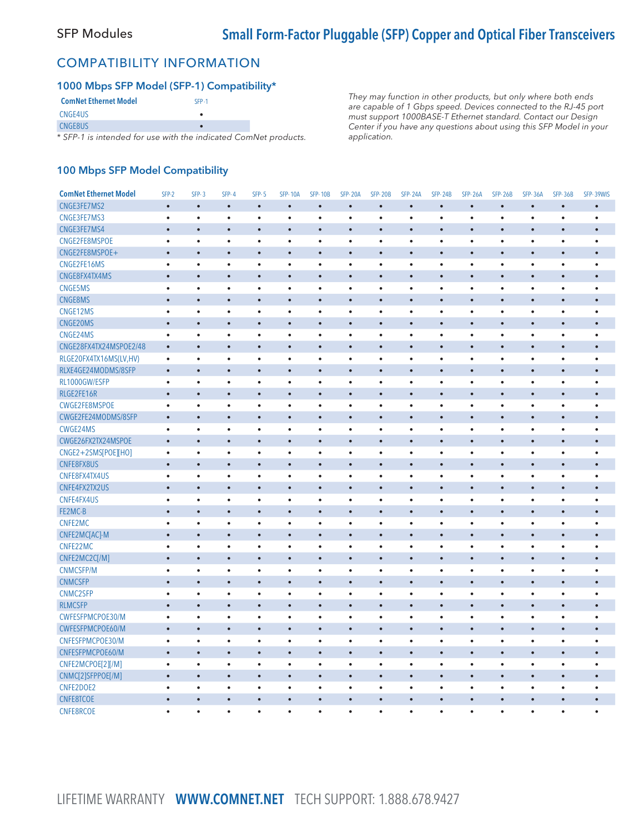### COMPATIBILITY INFORMATION

#### 1000 Mbps SFP Model (SFP-1) Compatibility\*

| <b>ComNet Ethernet Model</b>                               | SFP-1 |  |
|------------------------------------------------------------|-------|--|
| CNGE4US                                                    |       |  |
| CNGE8US                                                    |       |  |
| * SEP-1 is intended for use with the indicated Comblet pro |       |  |

SFP-1 is intended for use with the indicated ComNet products.

They may function in other products, but only where both ends are capable of 1 Gbps speed. Devices connected to the RJ-45 port must support 1000BASE-T Ethernet standard. Contact our Design Center if you have any questions about using this SFP Model in your application.

#### 100 Mbps SFP Model Compatibility

| <b>ComNet Ethernet Model</b> | SFP-2     | $SFP-3$   | $SFP-4$   | <b>SFP-5</b> | <b>SFP-10A</b> | <b>SFP-10B</b> | <b>SFP-20A</b> | <b>SFP-20B</b> | <b>SFP-24A</b> | <b>SFP-24B</b> | <b>SFP-26A</b> | <b>SFP-26B</b> | <b>SFP-36A</b> | <b>SFP-36B</b> | SFP-39WIS |
|------------------------------|-----------|-----------|-----------|--------------|----------------|----------------|----------------|----------------|----------------|----------------|----------------|----------------|----------------|----------------|-----------|
| CNGE3FE7MS2                  | $\bullet$ | $\bullet$ | $\bullet$ | $\bullet$    | $\bullet$      | $\bullet$      | $\bullet$      | $\bullet$      | $\bullet$      | $\bullet$      | $\bullet$      | $\bullet$      | $\bullet$      | $\bullet$      | $\bullet$ |
| CNGE3FE7MS3                  | $\bullet$ | $\bullet$ | $\bullet$ | $\bullet$    | $\bullet$      | $\bullet$      | $\bullet$      | $\bullet$      | $\bullet$      | $\bullet$      | $\bullet$      | $\bullet$      | $\bullet$      | $\bullet$      | $\bullet$ |
| CNGE3FE7MS4                  | $\bullet$ | $\bullet$ | $\bullet$ | $\bullet$    | $\bullet$      | ò              | $\bullet$      |                | $\bullet$      | $\bullet$      | $\bullet$      | $\bullet$      | $\bullet$      | $\bullet$      | $\bullet$ |
| CNGE2FE8MSPOE                | $\bullet$ | $\bullet$ | $\bullet$ | $\bullet$    | $\bullet$      | $\bullet$      | $\bullet$      | $\bullet$      | $\bullet$      | $\bullet$      | $\bullet$      | $\bullet$      | $\bullet$      | $\bullet$      | $\bullet$ |
| CNGE2FE8MSPOE+               | $\bullet$ | $\bullet$ | $\bullet$ | $\bullet$    | $\bullet$      | $\bullet$      | $\bullet$      | $\bullet$      | $\bullet$      | $\bullet$      | $\bullet$      | $\bullet$      | $\bullet$      | $\bullet$      | $\bullet$ |
| CNGE2FE16MS                  | $\bullet$ | $\bullet$ | $\bullet$ | $\bullet$    | $\bullet$      | $\bullet$      | $\bullet$      | $\bullet$      | $\bullet$      | $\bullet$      | $\bullet$      | $\bullet$      | $\bullet$      | $\bullet$      | $\bullet$ |
| CNGE8FX4TX4MS                | $\bullet$ | $\bullet$ | $\bullet$ | $\bullet$    | $\bullet$      | $\bullet$      | $\bullet$      | $\bullet$      | $\bullet$      | $\bullet$      | $\bullet$      | $\bullet$      | $\bullet$      | $\bullet$      | $\bullet$ |
| <b>CNGE5MS</b>               | $\bullet$ | $\bullet$ | $\bullet$ | $\bullet$    | $\bullet$      | $\bullet$      | $\bullet$      | $\bullet$      | $\bullet$      | $\bullet$      | $\bullet$      | $\bullet$      | $\bullet$      | $\bullet$      | $\bullet$ |
| CNGE8MS                      | $\bullet$ | $\bullet$ | $\bullet$ | $\bullet$    | $\bullet$      | $\bullet$      | $\bullet$      | $\bullet$      | $\bullet$      | $\bullet$      | $\bullet$      | $\bullet$      | $\bullet$      | $\bullet$      | $\bullet$ |
| CNGE12MS                     | $\bullet$ | $\bullet$ | $\bullet$ | $\bullet$    | $\bullet$      | $\bullet$      | $\bullet$      | $\bullet$      | $\bullet$      | $\bullet$      | $\bullet$      | $\bullet$      | $\bullet$      | $\bullet$      | $\bullet$ |
| CNGE20MS                     | $\bullet$ | $\bullet$ | $\bullet$ | $\bullet$    | $\bullet$      | $\bullet$      | $\bullet$      | $\bullet$      | $\bullet$      | $\bullet$      | $\bullet$      | $\bullet$      | $\bullet$      | $\bullet$      | $\bullet$ |
| CNGE24MS                     | $\bullet$ | $\bullet$ | $\bullet$ | $\bullet$    | $\bullet$      | $\bullet$      | $\bullet$      | $\bullet$      | $\bullet$      | $\bullet$      | $\bullet$      | $\bullet$      | $\bullet$      | $\bullet$      | $\bullet$ |
| CNGE28FX4TX24MSPOE2/48       | $\bullet$ | $\bullet$ | $\bullet$ | $\bullet$    | $\bullet$      | $\bullet$      | $\bullet$      | $\bullet$      | $\bullet$      | $\bullet$      | $\bullet$      | $\bullet$      | $\bullet$      | $\bullet$      | $\bullet$ |
| RLGE20FX4TX16MS(LV,HV)       | $\bullet$ | $\bullet$ | $\bullet$ | $\bullet$    | $\bullet$      | $\bullet$      | $\bullet$      | $\bullet$      | $\bullet$      | $\bullet$      | $\bullet$      | $\bullet$      | $\bullet$      | $\bullet$      | $\bullet$ |
| RLXE4GE24MODMS/8SFP          | $\bullet$ | $\bullet$ | $\bullet$ | $\bullet$    | $\bullet$      | $\bullet$      | $\bullet$      | $\bullet$      | $\bullet$      | $\bullet$      | $\bullet$      | $\bullet$      | $\bullet$      | $\bullet$      | $\bullet$ |
| RL1000GW/ESFP                | $\bullet$ | $\bullet$ | $\bullet$ | $\bullet$    | $\bullet$      | $\bullet$      | $\bullet$      | $\bullet$      | $\bullet$      | $\bullet$      | $\bullet$      | $\bullet$      | $\bullet$      | $\bullet$      | $\bullet$ |
| RLGE2FE16R                   | $\bullet$ | $\bullet$ | $\bullet$ | $\bullet$    | $\bullet$      | $\bullet$      | $\bullet$      | $\bullet$      | $\bullet$      | $\bullet$      | $\bullet$      | $\bullet$      | $\bullet$      | $\bullet$      | $\bullet$ |
| CWGE2FE8MSPOE                | $\bullet$ | $\bullet$ | $\bullet$ | $\bullet$    | $\bullet$      | $\bullet$      | $\bullet$      | $\bullet$      | $\bullet$      | $\bullet$      | $\bullet$      | $\bullet$      | $\bullet$      | $\bullet$      | $\bullet$ |
| CWGE2FE24MODMS/8SFP          | $\bullet$ | $\bullet$ | $\bullet$ | $\bullet$    | $\bullet$      | $\bullet$      | $\bullet$      | $\bullet$      | $\bullet$      | $\bullet$      | $\bullet$      | $\bullet$      | $\bullet$      | $\bullet$      | $\bullet$ |
| CWGE24MS                     | $\bullet$ | $\bullet$ | $\bullet$ | $\bullet$    | $\bullet$      | $\bullet$      | $\bullet$      | $\bullet$      | $\bullet$      | $\bullet$      | $\bullet$      | $\bullet$      | $\bullet$      | $\bullet$      | $\bullet$ |
| CWGE26FX2TX24MSPOE           | $\bullet$ | $\bullet$ | $\bullet$ | $\bullet$    | $\bullet$      | $\bullet$      | $\bullet$      | $\bullet$      | $\bullet$      | $\bullet$      | $\bullet$      | $\bullet$      | $\bullet$      | $\bullet$      | $\bullet$ |
| CNGE2+2SMS[POE][HO]          | $\bullet$ | $\bullet$ | $\bullet$ | $\bullet$    | $\bullet$      | $\bullet$      | $\bullet$      | $\bullet$      | $\bullet$      | $\bullet$      | $\bullet$      | $\bullet$      | $\bullet$      | $\bullet$      | $\bullet$ |
| CNFE8FX8US                   | $\bullet$ | $\bullet$ | $\bullet$ | $\bullet$    | $\bullet$      | ٠              | $\bullet$      | $\bullet$      | $\bullet$      | $\bullet$      | $\bullet$      | $\bullet$      | $\epsilon$     | $\bullet$      | $\bullet$ |
| CNFE8FX4TX4US                | $\bullet$ | $\bullet$ | $\bullet$ | ٠            | ٠              | $\bullet$      | $\bullet$      | $\bullet$      | $\bullet$      | $\bullet$      | $\bullet$      | $\bullet$      | $\bullet$      | $\bullet$      | $\bullet$ |
| CNFE4FX2TX2US                | $\bullet$ | $\bullet$ | $\bullet$ | $\bullet$    | $\bullet$      | $\bullet$      | $\bullet$      | $\bullet$      | $\bullet$      | $\bullet$      | $\bullet$      | $\bullet$      | $\bullet$      | $\bullet$      | $\bullet$ |
| CNFE4FX4US                   | $\bullet$ | $\bullet$ | $\bullet$ | $\bullet$    | $\bullet$      | $\bullet$      | $\bullet$      | $\bullet$      | $\bullet$      | $\bullet$      | $\bullet$      | $\bullet$      | $\bullet$      | $\bullet$      | $\bullet$ |
| FE2MC-B                      | $\bullet$ | $\bullet$ | $\bullet$ | $\bullet$    | $\bullet$      | $\bullet$      | $\bullet$      | $\bullet$      | $\bullet$      | $\bullet$      | $\bullet$      | $\bullet$      | $\bullet$      | $\bullet$      | $\bullet$ |
| CNFE2MC                      | $\bullet$ | $\bullet$ | $\bullet$ | $\bullet$    | $\bullet$      | $\bullet$      | $\bullet$      | $\bullet$      | $\bullet$      | $\bullet$      | $\bullet$      | $\bullet$      | $\bullet$      | $\bullet$      | $\bullet$ |
| CNFE2MC[AC]-M                | $\bullet$ |           | $\bullet$ | $\bullet$    | $\bullet$      | $\bullet$      | $\bullet$      | $\bullet$      | $\bullet$      | $\bullet$      | $\bullet$      | $\bullet$      | $\bullet$      | $\bullet$      | $\bullet$ |
| CNFE22MC                     | $\bullet$ | $\bullet$ | $\bullet$ | $\bullet$    | ٠              | ٠              | $\bullet$      | $\bullet$      | $\bullet$      | $\bullet$      | $\bullet$      | $\bullet$      | $\bullet$      | $\bullet$      | $\bullet$ |
| CNFE2MC2C[/M]                | $\bullet$ | $\bullet$ | $\bullet$ | $\bullet$    | $\bullet$      | $\bullet$      | $\bullet$      | $\bullet$      | $\bullet$      | $\bullet$      | $\bullet$      | $\bullet$      | $\bullet$      | $\bullet$      | $\bullet$ |
| <b>CNMCSFP/M</b>             | $\bullet$ | $\bullet$ | $\bullet$ | $\bullet$    | ٠              | $\bullet$      | $\bullet$      | $\bullet$      | $\bullet$      | $\bullet$      | $\bullet$      | $\bullet$      | $\bullet$      | $\bullet$      | $\bullet$ |
| <b>CNMCSFP</b>               | $\bullet$ | $\bullet$ | $\bullet$ | $\bullet$    | $\bullet$      | $\bullet$      | $\bullet$      | $\bullet$      | $\bullet$      | $\bullet$      | $\bullet$      | $\bullet$      | $\bullet$      | $\bullet$      | $\bullet$ |
| CNMC2SFP                     | $\bullet$ | $\bullet$ | $\bullet$ | $\bullet$    | $\bullet$      | $\bullet$      | $\bullet$      | $\bullet$      | $\bullet$      | $\bullet$      | $\bullet$      | $\bullet$      | $\bullet$      | $\bullet$      | $\bullet$ |
| <b>RLMCSFP</b>               | $\bullet$ | $\bullet$ | $\bullet$ | $\bullet$    | $\bullet$      | $\bullet$      | $\bullet$      | $\bullet$      | $\bullet$      | $\bullet$      | $\bullet$      | $\bullet$      | $\bullet$      | $\bullet$      | $\bullet$ |
| CWFESFPMCPOE30/M             | $\bullet$ | $\bullet$ | $\bullet$ | $\bullet$    | ٠              | $\bullet$      | $\bullet$      | $\bullet$      | $\bullet$      | $\bullet$      | $\bullet$      | $\bullet$      | $\bullet$      | $\bullet$      | $\bullet$ |
| CWFESFPMCPOE60/M             | $\bullet$ | $\bullet$ | $\bullet$ | $\bullet$    | $\bullet$      | $\bullet$      | $\bullet$      | $\bullet$      | $\bullet$      | $\bullet$      | $\bullet$      | $\bullet$      | $\bullet$      | $\bullet$      | $\bullet$ |
| CNFESFPMCPOE30/M             | $\bullet$ | $\bullet$ | $\bullet$ | $\bullet$    | $\bullet$      | $\bullet$      | $\bullet$      | $\bullet$      | $\bullet$      | $\bullet$      | $\bullet$      | $\bullet$      | $\bullet$      | $\bullet$      | $\bullet$ |
| CNFESFPMCPOE60/M             | $\bullet$ | $\bullet$ | $\bullet$ | $\bullet$    | $\bullet$      | $\bullet$      | $\bullet$      | $\bullet$      | $\bullet$      | $\bullet$      | $\bullet$      | $\bullet$      | $\bullet$      | $\bullet$      | $\bullet$ |
| CNFE2MCPOE[2][/M]            | $\bullet$ | $\bullet$ | $\bullet$ | $\bullet$    | $\bullet$      | $\bullet$      | ٠              | $\bullet$      | $\bullet$      | $\bullet$      | $\bullet$      | $\bullet$      | $\bullet$      | $\bullet$      | $\bullet$ |
| CNMC[2]SFPPOE[/M]            | $\bullet$ | $\bullet$ | $\bullet$ | $\bullet$    | $\bullet$      | $\bullet$      | $\bullet$      | $\bullet$      | $\bullet$      | $\bullet$      | $\bullet$      | $\bullet$      | $\bullet$      | $\bullet$      | $\bullet$ |
| CNFE2DOE2                    | $\bullet$ | $\bullet$ | $\bullet$ | $\bullet$    | ٠              | $\bullet$      | $\bullet$      | $\bullet$      | $\bullet$      | $\bullet$      | $\bullet$      | $\bullet$      | $\bullet$      | $\bullet$      | $\bullet$ |
| <b>CNFE8TCOE</b>             | $\bullet$ | $\bullet$ | $\bullet$ | $\bullet$    | $\bullet$      | $\bullet$      | $\bullet$      | $\bullet$      | $\bullet$      | $\bullet$      | $\bullet$      | $\bullet$      | $\bullet$      | $\bullet$      |           |
| <b>CNFE8RCOE</b>             | ٠         | $\bullet$ | $\bullet$ | $\bullet$    | ٠              | ٠              | $\bullet$      | $\bullet$      | $\bullet$      | $\bullet$      | $\bullet$      | $\bullet$      | $\bullet$      | $\bullet$      | $\bullet$ |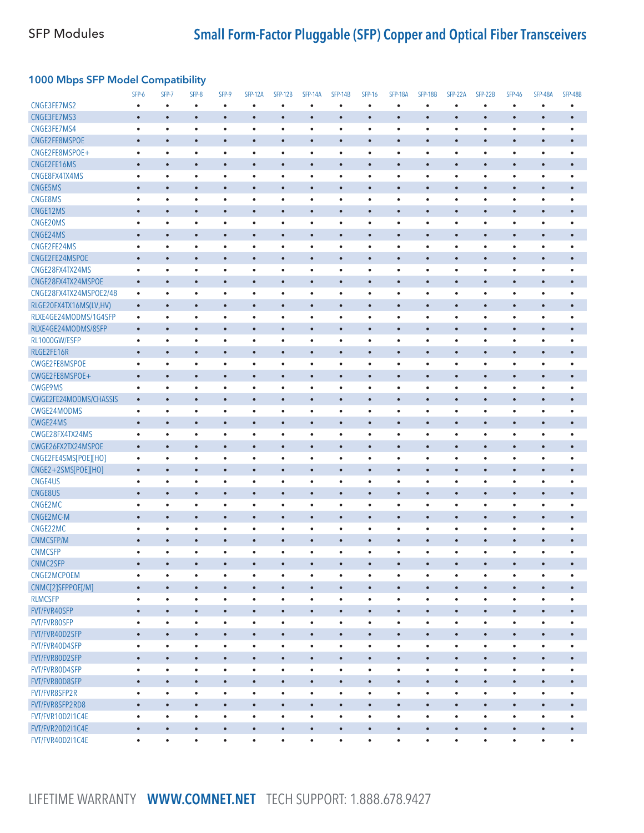### 1000 Mbps SFP Model Compatibility

|                                | SFP-6                  | SFP-7     | SFP-8                  | SFP-9                  | <b>SFP-12A</b> | <b>SFP-12B</b> | <b>SFP-14A</b>         | <b>SFP-14B</b> | <b>SFP-16</b> | <b>SFP-18A</b> | <b>SFP-18B</b>         | SFP-22A                | SFP-22B                | <b>SFP-46</b> | <b>SFP-48A</b> | <b>SFP-48B</b> |
|--------------------------------|------------------------|-----------|------------------------|------------------------|----------------|----------------|------------------------|----------------|---------------|----------------|------------------------|------------------------|------------------------|---------------|----------------|----------------|
| CNGE3FE7MS2                    | $\bullet$              | $\bullet$ | $\bullet$              | $\bullet$              | ٠              | ٠              | $\bullet$              | $\bullet$      | $\bullet$     | $\bullet$      | $\bullet$              | $\bullet$              | ٠                      | $\bullet$     | $\bullet$      | $\bullet$      |
| CNGE3FE7MS3                    | $\bullet$              | $\bullet$ | $\bullet$              | $\bullet$              | $\bullet$      | $\bullet$      | $\bullet$              | $\bullet$      | $\bullet$     | $\bullet$      | $\bullet$              | $\bullet$              | $\bullet$              |               | $\bullet$      | $\bullet$      |
| CNGE3FE7MS4                    | $\bullet$              | $\bullet$ | $\bullet$              | $\bullet$              | $\bullet$      | $\bullet$      | $\bullet$              | $\bullet$      | $\bullet$     | $\bullet$      | $\bullet$              | $\bullet$              | $\bullet$              | ٠             | $\bullet$      | $\bullet$      |
| CNGE2FE8MSPOE                  | $\bullet$              | $\bullet$ | $\bullet$              | $\bullet$              | $\bullet$      | $\bullet$      | $\bullet$              | $\bullet$      | $\bullet$     | $\bullet$      | $\bullet$              | $\bullet$              | $\bullet$              | $\bullet$     | $\bullet$      |                |
| CNGE2FE8MSPOE+                 | $\bullet$              | $\bullet$ | $\bullet$              | $\bullet$              | $\bullet$      | $\bullet$      | $\bullet$              | $\bullet$      | $\bullet$     | $\bullet$      | $\bullet$              | $\bullet$              | $\bullet$              | $\bullet$     | $\bullet$      | $\bullet$      |
| CNGE2FE16MS                    | $\bullet$              | $\bullet$ | $\bullet$              | $\bullet$              | $\bullet$      | $\bullet$      | $\bullet$              | $\bullet$      | $\bullet$     | $\bullet$      | $\bullet$              | $\bullet$              | $\bullet$              | $\bullet$     | $\bullet$      | $\bullet$      |
| CNGE8FX4TX4MS                  | $\bullet$              | $\bullet$ | $\bullet$              | $\bullet$              | $\bullet$      | $\bullet$      | $\bullet$              | $\bullet$      | $\bullet$     | $\bullet$      | $\bullet$              | $\bullet$              | $\bullet$              | $\bullet$     | $\bullet$      | $\bullet$      |
| CNGE5MS                        | $\bullet$              | $\bullet$ | $\bullet$              | $\bullet$              | $\bullet$      | $\bullet$      | $\bullet$              | $\bullet$      | $\bullet$     | $\bullet$      | $\bullet$              | $\bullet$              | $\bullet$              | $\bullet$     | $\bullet$      | $\bullet$      |
| <b>CNGE8MS</b>                 | $\bullet$              | ٠         | $\bullet$              | $\bullet$              | $\bullet$      | $\bullet$      | $\bullet$              | $\bullet$      | $\bullet$     | $\bullet$      | $\bullet$              | $\bullet$              | ٠                      | ٠             | $\bullet$      |                |
| CNGE12MS                       | $\bullet$              | $\bullet$ | $\bullet$              | $\bullet$              | $\bullet$      | $\bullet$      | $\bullet$              | $\bullet$      | $\bullet$     | $\bullet$      | $\bullet$              | $\bullet$              | $\bullet$              | $\bullet$     | $\bullet$      | $\bullet$      |
| CNGE20MS                       | $\bullet$              | $\bullet$ | $\bullet$              | $\bullet$              | $\bullet$      | $\bullet$      | $\bullet$              | $\bullet$      | $\bullet$     | $\bullet$      | $\bullet$              | $\bullet$              | $\bullet$              | ٠             | $\bullet$      | ٠              |
| CNGE24MS                       | $\bullet$              | $\bullet$ | $\bullet$              | $\bullet$              | $\bullet$      | $\bullet$      | $\bullet$              | $\bullet$      | $\bullet$     | $\bullet$      | $\bullet$              | $\bullet$              | $\bullet$              | $\bullet$     | $\bullet$      | $\bullet$      |
| CNGE2FE24MS                    | $\bullet$              | $\bullet$ | $\bullet$              | $\bullet$              | $\bullet$      | $\bullet$      | $\bullet$              | $\bullet$      | $\bullet$     | $\bullet$      | $\bullet$              | $\bullet$              | $\bullet$              | ٠             | $\bullet$      |                |
| CNGE2FE24MSPOE                 | $\bullet$              | $\bullet$ | $\bullet$              | $\bullet$              | $\bullet$      | $\bullet$      | $\bullet$              | $\bullet$      | $\bullet$     | $\bullet$      | $\bullet$              | $\bullet$              | $\bullet$              | $\bullet$     | $\bullet$      |                |
| CNGE28FX4TX24MS                | $\bullet$              | $\bullet$ | $\bullet$              | $\bullet$              | $\bullet$      | $\bullet$      | $\bullet$              | $\bullet$      | $\bullet$     | $\bullet$      | $\bullet$              | $\bullet$              | ٠                      | ٠             | $\bullet$      |                |
| CNGE28FX4TX24MSPOE             | $\bullet$              | $\bullet$ | $\bullet$              | $\bullet$              | $\bullet$      | $\bullet$      | $\bullet$              | $\bullet$      | $\bullet$     | $\bullet$      | $\bullet$              | $\bullet$              | $\bullet$              | $\bullet$     | $\bullet$      |                |
| CNGE28FX4TX24MSPOE2/48         | $\bullet$              | $\bullet$ | $\bullet$              | $\bullet$              | ٠              | $\bullet$      | $\bullet$              | $\bullet$      | $\bullet$     | $\bullet$      | $\bullet$              | $\bullet$              | $\bullet$              | ٠             | $\bullet$      | $\bullet$      |
| RLGE20FX4TX16MS(LV,HV)         | $\bullet$              | $\bullet$ | $\bullet$              | $\bullet$              | $\bullet$      | $\bullet$      | $\bullet$              | $\bullet$      | $\bullet$     | $\bullet$      | $\bullet$              | $\bullet$              | $\bullet$              | $\bullet$     | $\bullet$      | $\bullet$      |
| RLXE4GE24MODMS/1G4SFP          | $\bullet$              | $\bullet$ | $\bullet$              | $\bullet$              | $\bullet$      | $\bullet$      | $\bullet$              | $\bullet$      | $\bullet$     | $\bullet$      | $\bullet$              | $\bullet$              | ٠                      | ٠             | ٠              |                |
| RLXE4GE24MODMS/8SFP            | $\bullet$              | $\bullet$ | $\bullet$              | $\bullet$              | $\bullet$      | $\bullet$      | $\bullet$              | $\bullet$      | $\bullet$     | $\bullet$      | $\bullet$              | $\bullet$              | $\bullet$              | $\bullet$     | $\bullet$      | $\bullet$      |
| RL1000GW/ESFP                  | $\bullet$              | $\bullet$ | $\bullet$              | $\bullet$              | $\bullet$      | $\bullet$      | $\bullet$              | $\bullet$      | $\bullet$     | $\bullet$      | $\bullet$              | $\bullet$              | $\bullet$              | $\bullet$     | $\bullet$      |                |
| RLGE2FE16R                     | $\bullet$              | $\bullet$ | $\bullet$              | $\bullet$              | $\bullet$      | $\bullet$      | $\bullet$              | $\bullet$      | $\bullet$     | $\bullet$      | $\bullet$              | $\bullet$              | $\bullet$              | $\bullet$     | $\bullet$      | $\bullet$      |
| CWGE2FE8MSPOE                  | $\bullet$              | ٠         | $\bullet$              | $\bullet$              | $\bullet$      | $\bullet$      | $\bullet$              | $\bullet$      | ٠             | $\bullet$      | $\bullet$              | $\bullet$              | ٠                      | ٠             | ٠              | $\bullet$      |
| CWGE2FE8MSPOE+                 | $\bullet$              | $\bullet$ | $\bullet$              | $\bullet$              | $\bullet$      | $\bullet$      | $\bullet$              | $\bullet$      | $\bullet$     | $\bullet$      | $\bullet$              | $\bullet$              | $\bullet$              | $\bullet$     | $\bullet$      | $\bullet$      |
| <b>CWGE9MS</b>                 | $\bullet$              | $\bullet$ | $\bullet$              | $\bullet$              | $\bullet$      | $\bullet$      | $\bullet$              | $\bullet$      | $\bullet$     | $\bullet$      | $\bullet$              | $\bullet$              | $\bullet$              | ٠             | $\bullet$      | ٠              |
| CWGE2FE24MODMS/CHASSIS         | $\bullet$              | $\bullet$ | $\bullet$              | $\bullet$              | $\bullet$      | $\bullet$      | $\bullet$              | $\bullet$      | $\bullet$     | $\bullet$      | $\bullet$              | $\bullet$              | $\bullet$              | $\bullet$     | $\bullet$      | $\bullet$      |
| CWGE24MODMS                    | $\bullet$              | $\bullet$ | $\bullet$              | $\bullet$              | $\bullet$      | $\bullet$      | $\bullet$              | $\bullet$      | $\bullet$     | $\bullet$      | $\bullet$              | $\bullet$              | $\bullet$              | $\bullet$     | $\bullet$      |                |
| CWGE24MS                       | $\bullet$              | $\bullet$ | $\bullet$              | $\bullet$              | $\bullet$      | $\bullet$      | $\bullet$              | $\bullet$      | $\bullet$     | $\bullet$      | $\bullet$              | $\bullet$              | $\bullet$              | $\bullet$     | $\bullet$      | $\bullet$      |
| CWGE28FX4TX24MS                | $\bullet$              | $\bullet$ | $\bullet$              | $\bullet$              | $\bullet$      | $\bullet$      | $\bullet$              | $\bullet$      | $\bullet$     | $\bullet$      | $\bullet$              | $\bullet$              | $\bullet$              | ٠             | $\bullet$      |                |
| CWGE26FX2TX24MSPOE             | $\bullet$              | $\bullet$ | $\bullet$              | $\bullet$              | $\bullet$      | $\bullet$      | $\bullet$              | $\bullet$      | $\bullet$     | $\bullet$      | $\bullet$              | $\bullet$              | $\bullet$              | $\bullet$     | $\bullet$      | $\bullet$      |
| CNGE2FE4SMS[POE][HO]           | $\bullet$              | ٠         | $\bullet$              | $\bullet$              | $\bullet$      | $\bullet$      | $\bullet$              | $\bullet$      | $\bullet$     | $\bullet$      | $\bullet$              | $\bullet$              | $\bullet$              | ٠             | $\bullet$      | $\bullet$      |
| CNGE2+2SMS[POE][HO]            | $\bullet$              | $\bullet$ | $\bullet$              | $\bullet$              | $\bullet$      | $\bullet$      | $\bullet$              | $\bullet$      | $\bullet$     | $\bullet$      | $\bullet$              | $\bullet$              | $\bullet$              | $\bullet$     | $\bullet$      | $\bullet$      |
| CNGE4US                        | $\bullet$              | $\bullet$ | $\bullet$              | $\bullet$              | $\bullet$      | $\bullet$      | $\bullet$              | $\bullet$      | $\bullet$     | $\bullet$      | $\bullet$              | $\bullet$              | $\bullet$              | ٠             | $\bullet$      | ٠              |
| CNGE8US                        | $\bullet$              | $\bullet$ | $\bullet$              | $\bullet$              | $\bullet$      | $\bullet$      | $\bullet$              | $\bullet$      | $\bullet$     | $\bullet$      | $\bullet$              | $\bullet$              | $\bullet$              | $\bullet$     | $\bullet$      | $\bullet$      |
| CNGE2MC                        | $\bullet$              | $\bullet$ | $\bullet$              | $\bullet$              | $\bullet$      | $\bullet$      | $\bullet$              | $\bullet$      | $\bullet$     | $\bullet$      | $\bullet$              | $\bullet$              | $\bullet$              | $\bullet$     | $\bullet$      |                |
| CNGE2MC-M                      | $\bullet$              | $\bullet$ | $\bullet$              | $\bullet$              | $\bullet$      | $\bullet$      | $\bullet$              | $\bullet$      | $\bullet$     | $\bullet$      | $\bullet$              | $\bullet$              | $\bullet$              | $\bullet$     | $\bullet$      | $\bullet$      |
| CNGE22MC                       | $\bullet$              | $\bullet$ | $\bullet$              | $\bullet$              | $\bullet$      | $\bullet$      | $\bullet$              | $\bullet$      | $\bullet$     | $\bullet$      | $\bullet$              | $\bullet$              | ٠                      | ٠             | $\bullet$      | $\bullet$      |
| <b>CNMCSFP/M</b>               | $\bullet$              | $\bullet$ | $\bullet$              | $\bullet$              | $\bullet$      | $\bullet$      |                        | $\bullet$      | $\bullet$     | $\bullet$      | $\bullet$              | $\bullet$              | $\bullet$              | $\bullet$     | $\bullet$      | $\bullet$      |
| <b>CNMCSFP</b>                 | $\bullet$              | ٠         | $\bullet$              | $\bullet$              | ٠              | $\bullet$      | $\bullet$<br>$\bullet$ | $\bullet$      | $\bullet$     | $\bullet$      | $\bullet$              | $\bullet$              | $\bullet$              | $\bullet$     | $\bullet$      | $\bullet$      |
|                                |                        | $\bullet$ | $\bullet$              |                        | $\bullet$      | $\bullet$      | $\bullet$              | $\bullet$      | $\bullet$     | $\bullet$      | $\bullet$              | $\bullet$              | $\bullet$              | $\bullet$     | $\bullet$      |                |
| CNMC2SFP<br>CNGE2MCPOEM        | $\bullet$<br>$\bullet$ | ٠         |                        | $\bullet$<br>$\bullet$ | $\bullet$      | $\bullet$      | $\bullet$              | $\bullet$      | $\bullet$     | $\bullet$      |                        |                        |                        | ٠             | $\bullet$      | $\bullet$      |
| CNMC[2]SFPPOE[/M]              |                        | $\bullet$ | $\bullet$<br>$\bullet$ | $\bullet$              | $\bullet$      |                |                        | $\bullet$      | $\bullet$     |                | $\bullet$<br>$\bullet$ | $\bullet$<br>$\bullet$ | $\bullet$<br>$\bullet$ | $\bullet$     | $\bullet$      | $\bullet$      |
|                                | $\bullet$              |           |                        |                        |                | $\bullet$      | $\bullet$              |                |               | $\bullet$      |                        |                        |                        |               |                |                |
| <b>RLMCSFP</b><br>FVT/FVR40SFP | $\bullet$              | $\bullet$ | $\bullet$              | $\bullet$              | $\bullet$      | $\bullet$      | $\bullet$              | $\bullet$      | $\bullet$     | $\bullet$      | $\bullet$              | $\bullet$              | $\bullet$              | $\bullet$     | $\bullet$      | $\bullet$      |
|                                | $\bullet$              | $\bullet$ | $\bullet$              | $\bullet$              | $\bullet$      | $\bullet$      | $\bullet$              | $\bullet$      | $\bullet$     | $\bullet$      | $\bullet$              | $\bullet$              | $\bullet$              | $\bullet$     | $\bullet$      | $\bullet$      |
| FVT/FVR80SFP                   | $\bullet$              | $\bullet$ | $\bullet$              | $\bullet$              | $\bullet$      | $\bullet$      | $\bullet$              | $\bullet$      | $\bullet$     | $\bullet$      | $\bullet$              | $\bullet$              | $\bullet$              | $\bullet$     | $\bullet$      | $\bullet$      |
| FVT/FVR40D2SFP                 | $\bullet$              | $\bullet$ | $\bullet$              | $\bullet$              | $\bullet$      | $\bullet$      | $\bullet$              | $\bullet$      | $\bullet$     | $\bullet$      | $\bullet$              | $\bullet$              | $\bullet$              | $\bullet$     | $\bullet$      | $\bullet$      |
| FVT/FVR40D4SFP                 | $\bullet$              | $\bullet$ | $\bullet$              | $\bullet$              | $\bullet$      | $\bullet$      | $\bullet$              | $\bullet$      | $\bullet$     | $\bullet$      | $\bullet$              | $\bullet$              | $\bullet$              | $\bullet$     | $\bullet$      | $\bullet$      |
| FVT/FVR80D2SFP                 | $\bullet$              | $\bullet$ | $\bullet$              | $\bullet$              | $\bullet$      | $\bullet$      | $\bullet$              | $\bullet$      | $\bullet$     | $\bullet$      | $\bullet$              | $\bullet$              | $\bullet$              | $\bullet$     | $\bullet$      | $\bullet$      |
| FVT/FVR80D4SFP                 | $\bullet$              | $\bullet$ | $\bullet$              | $\bullet$              | $\bullet$      | $\bullet$      | $\bullet$              | $\bullet$      | $\bullet$     | $\bullet$      | $\bullet$              | $\bullet$              | $\bullet$              | $\bullet$     | $\bullet$      | $\bullet$      |
| FVT/FVR80D8SFP                 | $\bullet$              | $\bullet$ | $\bullet$              | $\bullet$              | $\bullet$      | $\bullet$      | $\bullet$              | $\bullet$      | $\bullet$     | $\bullet$      | $\bullet$              | $\bullet$              | $\bullet$              | $\bullet$     | $\bullet$      | $\bullet$      |
| FVT/FVR8SFP2R                  | $\bullet$              | $\bullet$ | $\bullet$              | $\bullet$              | $\bullet$      | $\bullet$      | $\bullet$              | $\bullet$      | $\bullet$     | $\bullet$      | $\bullet$              | $\bullet$              | $\bullet$              | $\bullet$     | $\bullet$      | $\bullet$      |
| FVT/FVR8SFP2RD8                | $\bullet$              | $\bullet$ | $\bullet$              | $\bullet$              | $\bullet$      | $\bullet$      | $\bullet$              | $\bullet$      | $\bullet$     | $\bullet$      | $\bullet$              | $\bullet$              | $\bullet$              | $\bullet$     | $\bullet$      | $\bullet$      |
| FVT/FVR10D2I1C4E               | $\bullet$              | $\bullet$ | $\bullet$              | $\bullet$              | $\bullet$      | $\bullet$      | $\bullet$              | $\bullet$      | $\bullet$     | $\bullet$      | $\bullet$              | $\bullet$              | $\bullet$              | $\bullet$     | $\bullet$      | $\bullet$      |
| FVT/FVR20D2I1C4E               | $\bullet$              | $\bullet$ | $\bullet$              | $\bullet$              | $\bullet$      | $\bullet$      | $\bullet$              | $\bullet$      | $\bullet$     | $\bullet$      | $\bullet$              | $\bullet$              | $\bullet$              | $\bullet$     | $\bullet$      | $\bullet$      |
| FVT/FVR40D2I1C4E               | $\bullet$              | $\bullet$ | $\bullet$              | $\bullet$              | $\bullet$      | $\bullet$      | $\bullet$              | $\bullet$      | $\bullet$     | $\bullet$      | $\bullet$              | $\bullet$              | $\bullet$              | $\bullet$     | $\bullet$      | $\bullet$      |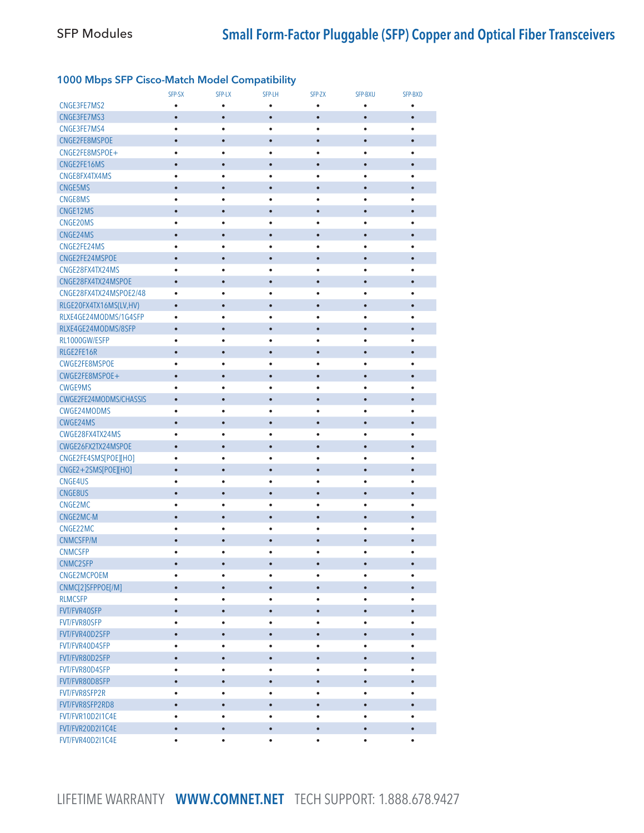## 1000 Mbps SFP Cisco-Match Model Compatibility

|                         | SFP-SX         | SFP-LX                 | SFP-LH                 | SFP-ZX         | <b>SFP-BXU</b> | SFP-BXD        |
|-------------------------|----------------|------------------------|------------------------|----------------|----------------|----------------|
| CNGE3FE7MS2             | ٠              | $\bullet$              | $\bullet$              | ٠              | ٠              | $\bullet$      |
| CNGE3FE7MS3             | $\bullet$      | $\bullet$              | $\bullet$              | $\bullet$      | $\bullet$      | $\bullet$      |
| CNGE3FE7MS4             | ٠              | $\bullet$              | ٠                      | ٠              | ٠              | $\bullet$      |
| CNGE2FE8MSPOE           | $\bullet$      | $\bullet$              | $\bullet$              | $\bullet$      | $\bullet$      | $\bullet$      |
| CNGE2FE8MSPOE+          | $\bullet$      | $\bullet$              | $\bullet$              | $\bullet$      | ٠              | ٠              |
| CNGE2FE16MS             | $\bullet$      | $\bullet$              | $\bullet$              | $\bullet$      | $\bullet$      | $\bullet$      |
| CNGE8FX4TX4MS           | $\bullet$      | $\bullet$              | ٠                      | ٠              | ٠              | $\bullet$      |
| <b>CNGE5MS</b>          | $\bullet$      | $\bullet$              | $\bullet$              | $\bullet$      | $\bullet$      | $\bullet$      |
| <b>CNGE8MS</b>          | $\bullet$      | $\bullet$              | $\bullet$              | ٠              | ٠              | ٠              |
| CNGE12MS                | $\bullet$      | $\bullet$              | $\bullet$              | $\bullet$      | $\bullet$      | $\bullet$      |
| CNGE20MS                | $\bullet$      | $\bullet$              | ٠                      | $\bullet$      | $\bullet$      | ٠              |
| CNGE24MS                | $\bullet$      | $\bullet$              | $\bullet$              | $\bullet$      | $\bullet$      | $\bullet$      |
| CNGE2FE24MS             | $\bullet$      | $\bullet$              | $\bullet$              | $\bullet$      | $\bullet$      | ٠              |
| CNGE2FE24MSPOE          | $\bullet$      | $\bullet$              | $\bullet$              | $\bullet$      | $\bullet$      | $\bullet$      |
| CNGE28FX4TX24MS         | $\bullet$      | $\bullet$              | $\bullet$              | $\bullet$      | $\bullet$      | $\bullet$      |
| CNGE28FX4TX24MSPOE      | $\bullet$      | $\bullet$              | $\bullet$              | $\bullet$      | $\bullet$      | $\bullet$      |
| CNGE28FX4TX24MSPOE2/48  | $\bullet$      | $\bullet$              | $\bullet$              | $\bullet$      | $\bullet$      | $\bullet$      |
| RLGE20FX4TX16MS(LV,HV)  | $\bullet$      | $\bullet$              | ٠                      | $\bullet$      | $\bullet$      | $\bullet$      |
| RLXE4GE24MODMS/1G4SFP   | $\bullet$      | $\bullet$              | $\bullet$              | $\bullet$      | $\bullet$      | $\bullet$      |
| RLXE4GE24MODMS/8SFP     | $\bullet$      | $\bullet$              | $\bullet$              | $\bullet$      | $\bullet$      | $\bullet$      |
| RL1000GW/ESFP           | $\bullet$      | $\bullet$              | $\bullet$              | ٠              | ٠              | $\bullet$      |
| RLGE2FE16R              | $\bullet$      | $\bullet$              | $\bullet$              | $\bullet$      | $\bullet$      | $\bullet$      |
| CWGE2FE8MSPOE           | $\bullet$      | $\bullet$              | $\bullet$              | $\bullet$      | $\bullet$      | $\bullet$      |
| CWGE2FE8MSPOE+          | $\bullet$      | $\bullet$              | $\bullet$              | $\bullet$      | $\bullet$      | $\bullet$      |
| <b>CWGE9MS</b>          | $\bullet$      | $\bullet$              | ٠                      | $\bullet$      | $\bullet$      | ٠              |
| CWGE2FE24MODMS/CHASSIS  | $\bullet$      | $\bullet$              | $\bullet$              | $\bullet$      | $\bullet$      | $\bullet$      |
| CWGE24MODMS             | $\bullet$      | $\bullet$              | $\bullet$              | $\bullet$      | $\bullet$      | ٠              |
| CWGE24MS                | $\bullet$      | $\bullet$              | $\bullet$              | $\bullet$      | $\bullet$      | $\bullet$      |
| CWGE28FX4TX24MS         | $\bullet$      | $\bullet$              | ٠                      | $\bullet$      | $\bullet$      | $\bullet$      |
| CWGE26FX2TX24MSPOE      | $\bullet$      | $\bullet$              | $\bullet$              | $\bullet$      | $\bullet$      | $\bullet$      |
| CNGE2FE4SMS[POE][HO]    | $\bullet$      | $\bullet$              | ٠                      | ٠              | $\bullet$      | $\bullet$      |
| CNGE2+2SMS[POE][HO]     | $\bullet$      | $\bullet$              | $\bullet$              | $\bullet$      | $\bullet$      | $\bullet$      |
| CNGE4US                 | $\bullet$      | $\bullet$              | ٠                      | $\bullet$      | $\bullet$      | ٠              |
| <b>CNGE8US</b>          | $\bullet$      | $\bullet$              | $\bullet$              | $\bullet$      | $\bullet$      | $\bullet$      |
| CNGE2MC                 | $\bullet$      | $\bullet$              | $\bullet$              | $\bullet$      | $\bullet$      | $\bullet$      |
| CNGE2MC-M               | $\bullet$      | $\bullet$              | $\bullet$              | $\bullet$      | $\bullet$      | $\bullet$      |
| CNGE22MC                | $\bullet$      | $\bullet$              | $\bullet$              | $\bullet$      | $\bullet$      | $\bullet$      |
| <b>CNMCSFP/M</b>        | $\bullet$      | $\bullet$              | $\bullet$              | $\bullet$      | $\bullet$      | $\bullet$      |
| <b>CNMCSFP</b>          | $\bullet$      | $\bullet$              | ٠                      | $\bullet$      | $\bullet$      | $\bullet$      |
|                         | $\bullet$      |                        |                        | $\bullet$      | $\bullet$      |                |
| CNMC2SFP<br>CNGE2MCPOEM | $\bullet$      |                        | $\bullet$<br>٠         | $\bullet$      | $\bullet$      | $\bullet$      |
| CNMC[2]SFPPOE[/M]       | $\bullet$      | $\bullet$              | $\bullet$              | $\bullet$      | $\bullet$      | $\bullet$      |
| <b>RLMCSFP</b>          |                |                        |                        |                |                |                |
| FVT/FVR40SFP            | ٠<br>$\bullet$ | $\bullet$<br>$\bullet$ | $\bullet$<br>$\bullet$ | ٠<br>$\bullet$ | ٠<br>$\bullet$ | ٠<br>$\bullet$ |
|                         |                |                        |                        |                |                |                |
| FVT/FVR80SFP            | $\bullet$      | $\bullet$              | ٠                      | ٠              | $\bullet$      | ٠              |
| FVT/FVR40D2SFP          | $\bullet$      | $\bullet$              | $\bullet$              | $\bullet$      | $\bullet$      | $\bullet$      |
| FVT/FVR40D4SFP          | $\bullet$      | $\bullet$              | ٠                      | ٠              | ٠              | ٠              |
| FVT/FVR80D2SFP          | $\bullet$      | $\bullet$              | $\bullet$              | $\bullet$      | $\bullet$      | $\bullet$      |
| FVT/FVR80D4SFP          | $\bullet$      | ٠                      | $\bullet$              | $\bullet$      | $\bullet$      | ٠              |
| FVT/FVR80D8SFP          | $\bullet$      | $\bullet$              | $\bullet$              | $\bullet$      | $\bullet$      | $\bullet$      |
| FVT/FVR8SFP2R           | $\bullet$      | $\bullet$              | ٠                      | $\bullet$      | $\bullet$      | ٠              |
| FVT/FVR8SFP2RD8         | $\bullet$      | $\bullet$              | $\bullet$              | $\bullet$      | $\bullet$      | $\bullet$      |
| FVT/FVR10D2I1C4E        | $\bullet$      | $\bullet$              | ٠                      | $\bullet$      | $\bullet$      | $\bullet$      |
| FVT/FVR20D2I1C4E        | $\bullet$      | $\bullet$              | $\bullet$              | $\bullet$      | $\bullet$      | $\bullet$      |
| FVT/FVR40D2I1C4E        | $\bullet$      | $\bullet$              | $\bullet$              | $\bullet$      | $\bullet$      | $\bullet$      |